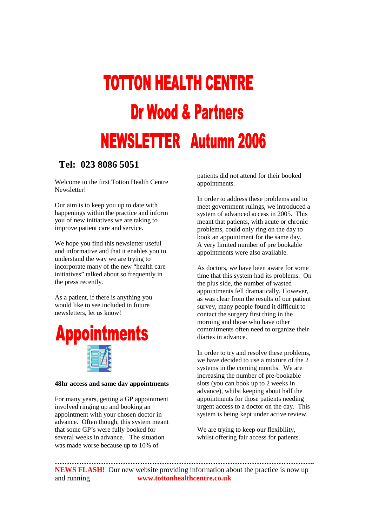## **TOTTON HEALTH CENTRE Dr Wood & Partners NEWSLETTER Autumn 2006**

#### **Tel: 023 8086 5051**

Welcome to the first Totton Health Centre Newsletter!

Our aim is to keep you up to date with happenings within the practice and inform you of new initiatives we are taking to improve patient care and service.

We hope you find this newsletter useful and informative and that it enables you to understand the way we are trying to incorporate many of the new "health care initiatives" talked about so frequently in the press recently.

As a patient, if there is anything you would like to see included in future newsletters, let us know!



#### **48hr access and same day appointments**

For many years, getting a GP appointment involved ringing up and booking an appointment with your chosen doctor in advance. Often though, this system meant that some GP's were fully booked for several weeks in advance. The situation was made worse because up to 10% of

patients did not attend for their booked appointments.

In order to address these problems and to meet government rulings, we introduced a system of advanced access in 2005. This meant that patients, with acute or chronic problems, could only ring on the day to book an appointment for the same day. A very limited number of pre bookable appointments were also available.

As doctors, we have been aware for some time that this system had its problems. On the plus side, the number of wasted appointments fell dramatically. However, as was clear from the results of our patient survey, many people found it difficult to contact the surgery first thing in the morning and those who have other commitments often need to organize their diaries in advance.

In order to try and resolve these problems, we have decided to use a mixture of the 2 systems in the coming months. We are increasing the number of pre-bookable slots (you can book up to 2 weeks in advance), whilst keeping about half the appointments for those patients needing urgent access to a doctor on the day. This system is being kept under active review.

We are trying to keep our flexibility, whilst offering fair access for patients.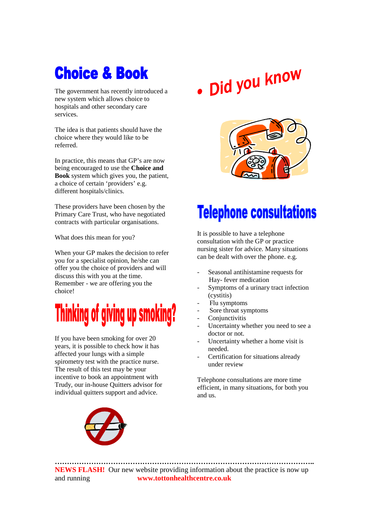### **Choice & Book**

The government has recently introduced a new system which allows choice to hospitals and other secondary care services.

The idea is that patients should have the choice where they would like to be referred.

In practice, this means that GP's are now being encouraged to use the **Choice and Book** system which gives you, the patient, a choice of certain 'providers' e.g. different hospitals/clinics.

These providers have been chosen by the Primary Care Trust, who have negotiated contracts with particular organisations.

What does this mean for you?

When your GP makes the decision to refer you for a specialist opinion, he/she can offer you the choice of providers and will discuss this with you at the time. Remember - we are offering you the choice!



If you have been smoking for over 20 years, it is possible to check how it has affected your lungs with a simple spirometry test with the practice nurse. The result of this test may be your incentive to book an appointment with Trudy, our in-house Quitters advisor for individual quitters support and advice.



# . Did you know



### **Telephone consultations**

It is possible to have a telephone consultation with the GP or practice nursing sister for advice. Many situations can be dealt with over the phone. e.g.

- Seasonal antihistamine requests for Hay- fever medication
- Symptoms of a urinary tract infection (cystitis)
- Flu symptoms
- Sore throat symptoms
- **Conjunctivitis**
- Uncertainty whether you need to see a doctor or not.
- Uncertainty whether a home visit is needed.
- Certification for situations already under review

Telephone consultations are more time efficient, in many situations, for both you and us.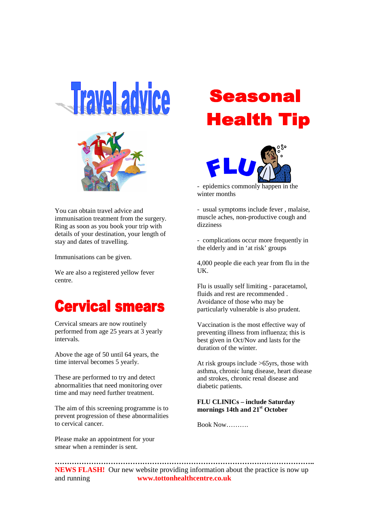



You can obtain travel advice and immunisation treatment from the surgery. Ring as soon as you book your trip with details of your destination, your length of stay and dates of travelling.

Immunisations can be given.

We are also a registered yellow fever centre.

### **Cervical smears**

Cervical smears are now routinely performed from age 25 years at 3 yearly intervals.

Above the age of 50 until 64 years, the time interval becomes 5 yearly.

These are performed to try and detect abnormalities that need monitoring over time and may need further treatment.

The aim of this screening programme is to prevent progression of these abnormalities to cervical cancer.

Please make an appointment for your smear when a reminder is sent.

### **Seasonal Health Tip**



- epidemics commonly happen in the winter months

- usual symptoms include fever , malaise, muscle aches, non-productive cough and dizziness

- complications occur more frequently in the elderly and in 'at risk' groups

4,000 people die each year from flu in the UK.

Flu is usually self limiting - paracetamol, fluids and rest are recommended . Avoidance of those who may be particularly vulnerable is also prudent.

Vaccination is the most effective way of preventing illness from influenza; this is best given in Oct/Nov and lasts for the duration of the winter.

At risk groups include >65yrs, those with asthma, chronic lung disease, heart disease and strokes, chronic renal disease and diabetic patients.

#### **FLU CLINICs – include Saturday mornings 14th and 21st October**

Book Now……….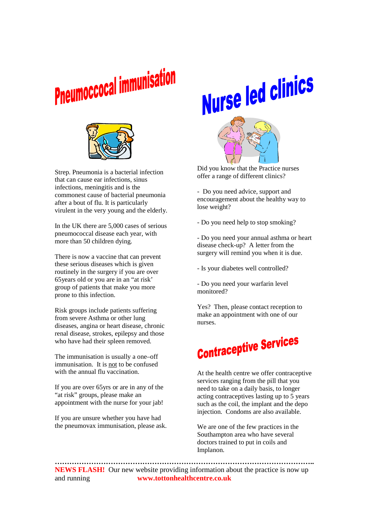



Strep. Pneumonia is a bacterial infection that can cause ear infections, sinus infections, meningitis and is the commonest cause of bacterial pneumonia after a bout of flu. It is particularly virulent in the very young and the elderly.

In the UK there are 5,000 cases of serious pneumococcal disease each year, with more than 50 children dying.

There is now a vaccine that can prevent these serious diseases which is given routinely in the surgery if you are over 65years old or you are in an "at risk' group of patients that make you more prone to this infection.

Risk groups include patients suffering from severe Asthma or other lung diseases, angina or heart disease, chronic renal disease, strokes, epilepsy and those who have had their spleen removed.

The immunisation is usually a one–off immunisation. It is not to be confused with the annual flu vaccination.

If you are over 65yrs or are in any of the "at risk" groups, please make an appointment with the nurse for your jab!

If you are unsure whether you have had the pneumovax immunisation, please ask. Nurse led clinics



 Did you know that the Practice nurses offer a range of different clinics?

- Do you need advice, support and encouragement about the healthy way to lose weight?

- Do you need help to stop smoking?

- Do you need your annual asthma or heart disease check-up? A letter from the surgery will remind you when it is due.

- Is your diabetes well controlled?

- Do you need your warfarin level monitored?

Yes? Then, please contact reception to make an appointment with one of our nurses.



At the health centre we offer contraceptive services ranging from the pill that you need to take on a daily basis, to longer acting contraceptives lasting up to 5 years such as the coil, the implant and the depo injection. Condoms are also available.

We are one of the few practices in the Southampton area who have several doctors trained to put in coils and Implanon.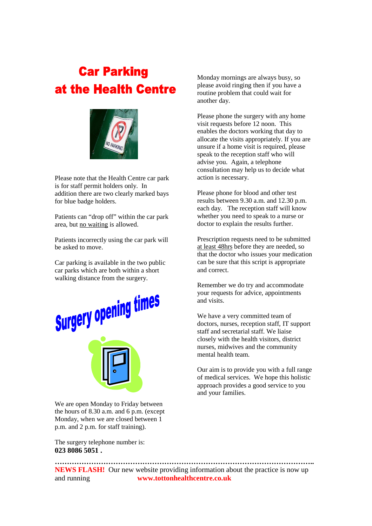### **Car Parking** at the Health Centre



Please note that the Health Centre car park is for staff permit holders only. In addition there are two clearly marked bays for blue badge holders.

Patients can "drop off" within the car park area, but no waiting is allowed.

Patients incorrectly using the car park will be asked to move.

Car parking is available in the two public car parks which are both within a short walking distance from the surgery.



We are open Monday to Friday between the hours of 8.30 a.m. and 6 p.m. (except Monday, when we are closed between 1 p.m. and 2 p.m. for staff training).

The surgery telephone number is: **023 8086 5051 .** 

Monday mornings are always busy, so please avoid ringing then if you have a routine problem that could wait for another day.

Please phone the surgery with any home visit requests before 12 noon. This enables the doctors working that day to allocate the visits appropriately. If you are unsure if a home visit is required, please speak to the reception staff who will advise you. Again, a telephone consultation may help us to decide what action is necessary.

Please phone for blood and other test results between 9.30 a.m. and 12.30 p.m. each day. The reception staff will know whether you need to speak to a nurse or doctor to explain the results further.

Prescription requests need to be submitted at least 48hrs before they are needed, so that the doctor who issues your medication can be sure that this script is appropriate and correct.

Remember we do try and accommodate your requests for advice, appointments and visits.

We have a very committed team of doctors, nurses, reception staff, IT support staff and secretarial staff. We liaise closely with the health visitors, district nurses, midwives and the community mental health team.

Our aim is to provide you with a full range of medical services. We hope this holistic approach provides a good service to you and your families.

**NEWS FLASH!** Our new website providing information about the practice is now up and running **www.tottonhealthcentre.co.uk** 

**……………………………………………………………………………………………..**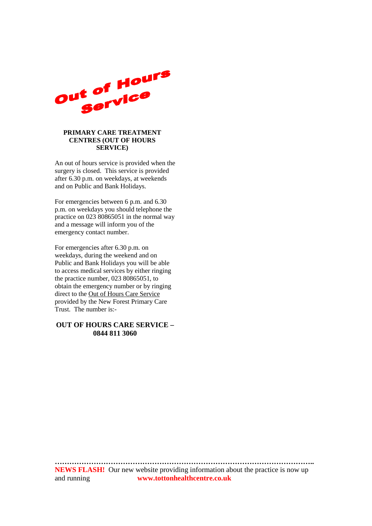

#### **PRIMARY CARE TREATMENT CENTRES (OUT OF HOURS SERVICE)**

An out of hours service is provided when the surgery is closed. This service is provided after 6.30 p.m. on weekdays, at weekends and on Public and Bank Holidays.

For emergencies between 6 p.m. and 6.30 p.m. on weekdays you should telephone the practice on 023 80865051 in the normal way and a message will inform you of the emergency contact number.

For emergencies after 6.30 p.m. on weekdays, during the weekend and on Public and Bank Holidays you will be able to access medical services by either ringing the practice number, 023 80865051, to obtain the emergency number or by ringing direct to the Out of Hours Care Service provided by the New Forest Primary Care Trust. The number is:-

#### **OUT OF HOURS CARE SERVICE – 0844 811 3060**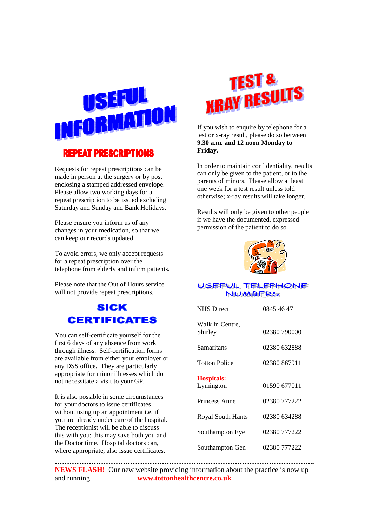

#### **REPEAT PRESCRIPTIONS**

Requests for repeat prescriptions can be made in person at the surgery or by post enclosing a stamped addressed envelope. Please allow two working days for a repeat prescription to be issued excluding Saturday and Sunday and Bank Holidays.

Please ensure you inform us of any changes in your medication, so that we can keep our records updated.

To avoid errors, we only accept requests for a repeat prescription over the telephone from elderly and infirm patients.

Please note that the Out of Hours service will not provide repeat prescriptions.

#### **SICK CERTIFICATES**

You can self-certificate yourself for the first 6 days of any absence from work through illness. Self-certification forms are available from either your employer or any DSS office. They are particularly appropriate for minor illnesses which do not necessitate a visit to your GP.

It is also possible in some circumstances for your doctors to issue certificates without using up an appointment *i.e.* if you are already under care of the hospital. The receptionist will be able to discuss this with you; this may save both you and the Doctor time. Hospital doctors can, where appropriate, also issue certificates.



If you wish to enquire by telephone for a test or x-ray result, please do so between **9.30 a.m. and 12 noon Monday to Friday.** 

In order to maintain confidentiality, results can only be given to the patient, or to the parents of minors. Please allow at least one week for a test result unless told otherwise; x-ray results will take longer.

Results will only be given to other people if we have the documented, expressed permission of the patient to do so.



#### USEFUL TELEPHONE **NUMBERS**

| <b>NHS</b> Direct              | 0845 46 47   |
|--------------------------------|--------------|
| Walk In Centre,<br>Shirley     | 02380 790000 |
| Samaritans                     | 02380 632888 |
| <b>Totton Police</b>           | 02380 867911 |
| <b>Hospitals:</b><br>Lymington | 01590 677011 |
| Princess Anne                  | 02380 777222 |
| <b>Royal South Hants</b>       | 02380 634288 |
| Southampton Eye                | 02380 777222 |
| Southampton Gen                | 02380 777222 |